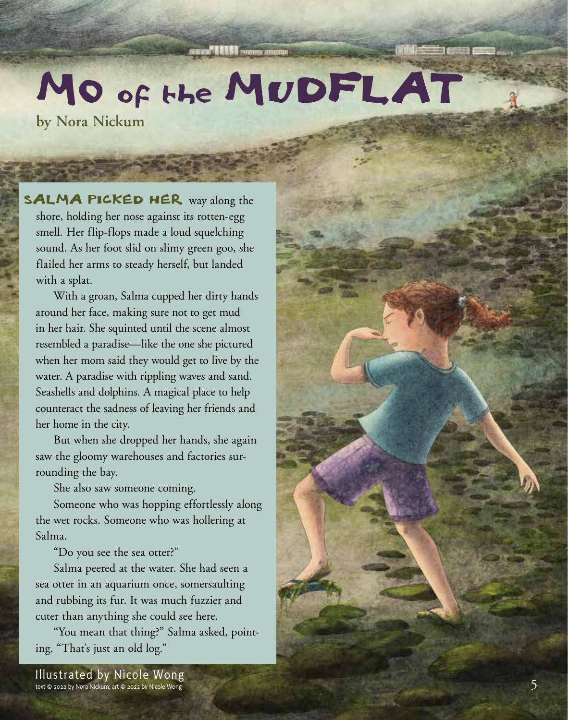## MO of the MUDFLAT

**by Nora Nickum**

SALMA PICKED HER way along the shore, holding her nose against its rotten-egg smell. Her flip-flops made a loud squelching sound. As her foot slid on slimy green goo, she flailed her arms to steady herself, but landed with a splat.

With a groan, Salma cupped her dirty hands around her face, making sure not to get mud in her hair. She squinted until the scene almost resembled a paradise—like the one she pictured when her mom said they would get to live by the water. A paradise with rippling waves and sand. Seashells and dolphins. A magical place to help counteract the sadness of leaving her friends and her home in the city.

But when she dropped her hands, she again saw the gloomy warehouses and factories surrounding the bay.

She also saw someone coming.

Someone who was hopping effortlessly along the wet rocks. Someone who was hollering at Salma.

"Do you see the sea otter?"

Salma peered at the water. She had seen a sea otter in an aquarium once, somersaulting and rubbing its fur. It was much fuzzier and cuter than anything she could see here.

"You mean that thing?" Salma asked, pointing. "That's just an old log."

Illustrated by Nicole Wong text © 2022 by Nora Nickum, art © 2022 by Nicole Wong 5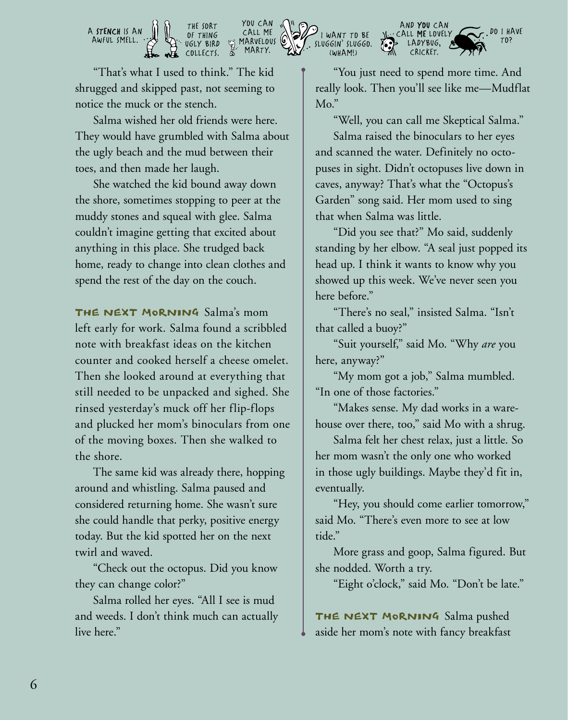

"That's what I used to think." The kid shrugged and skipped past, not seeming to notice the muck or the stench.

Salma wished her old friends were here. They would have grumbled with Salma about the ugly beach and the mud between their toes, and then made her laugh.

She watched the kid bound away down the shore, sometimes stopping to peer at the muddy stones and squeal with glee. Salma couldn't imagine getting that excited about anything in this place. She trudged back home, ready to change into clean clothes and spend the rest of the day on the couch.

THE NEXT MORNING Salma's mom left early for work. Salma found a scribbled note with breakfast ideas on the kitchen counter and cooked herself a cheese omelet. Then she looked around at everything that still needed to be unpacked and sighed. She rinsed yesterday's muck off her flip-flops and plucked her mom's binoculars from one of the moving boxes. Then she walked to the shore.

The same kid was already there, hopping around and whistling. Salma paused and considered returning home. She wasn't sure she could handle that perky, positive energy today. But the kid spotted her on the next twirl and waved.

"Check out the octopus. Did you know they can change color?"

Salma rolled her eyes. "All I see is mud and weeds. I don't think much can actually live here."

"You just need to spend more time. And really look. Then you'll see like me—Mudflat Mo."

"Well, you can call me Skeptical Salma."

Salma raised the binoculars to her eyes and scanned the water. Definitely no octopuses in sight. Didn't octopuses live down in caves, anyway? That's what the "Octopus's Garden" song said. Her mom used to sing that when Salma was little.

"Did you see that?" Mo said, suddenly standing by her elbow. "A seal just popped its head up. I think it wants to know why you showed up this week. We've never seen you here before."

"There's no seal," insisted Salma. "Isn't that called a buoy?"

"Suit yourself," said Mo. "Why *are* you here, anyway?"

"My mom got a job," Salma mumbled. "In one of those factories."

"Makes sense. My dad works in a warehouse over there, too," said Mo with a shrug.

Salma felt her chest relax, just a little. So her mom wasn't the only one who worked in those ugly buildings. Maybe they'd fit in, eventually.

"Hey, you should come earlier tomorrow," said Mo. "There's even more to see at low tide."

More grass and goop, Salma figured. But she nodded. Worth a try.

"Eight o'clock," said Mo. "Don't be late."

THE NEXT MORNING Salma pushed aside her mom's note with fancy breakfast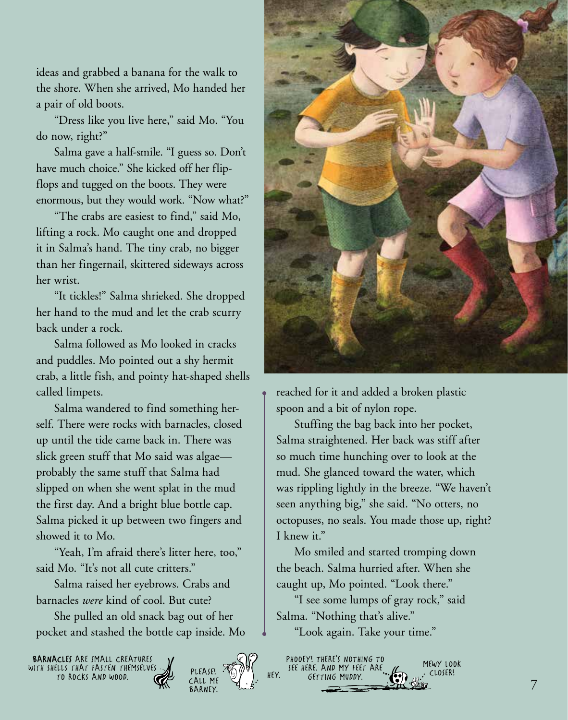ideas and grabbed a banana for the walk to the shore. When she arrived, Mo handed her a pair of old boots.

"Dress like you live here," said Mo. "You do now, right?"

Salma gave a half-smile. "I guess so. Don't have much choice." She kicked off her flipflops and tugged on the boots. They were enormous, but they would work. "Now what?"

"The crabs are easiest to find," said Mo, lifting a rock. Mo caught one and dropped it in Salma's hand. The tiny crab, no bigger than her fingernail, skittered sideways across her wrist.

"It tickles!" Salma shrieked. She dropped her hand to the mud and let the crab scurry back under a rock.

Salma followed as Mo looked in cracks and puddles. Mo pointed out a shy hermit crab, a little fish, and pointy hat-shaped shells called limpets.

Salma wandered to find something herself. There were rocks with barnacles, closed up until the tide came back in. There was slick green stuff that Mo said was algae probably the same stuff that Salma had slipped on when she went splat in the mud the first day. And a bright blue bottle cap. Salma picked it up between two fingers and showed it to Mo.

"Yeah, I'm afraid there's litter here, too," said Mo. "It's not all cute critters."

Salma raised her eyebrows. Crabs and barnacles *were* kind of cool. But cute?

She pulled an old snack bag out of her pocket and stashed the bottle cap inside. Mo

BARNACLES ARE SMALL CREATURES WITH SHELLS THAT FASTEN THEMSELVES TO ROCKS AND WOOD.





reached for it and added a broken plastic spoon and a bit of nylon rope.

Stuffing the bag back into her pocket, Salma straightened. Her back was stiff after so much time hunching over to look at the mud. She glanced toward the water, which was rippling lightly in the breeze. "We haven't seen anything big," she said. "No otters, no octopuses, no seals. You made those up, right? I knew it."

Mo smiled and started tromping down the beach. Salma hurried after. When she caught up, Mo pointed. "Look there."

"I see some lumps of gray rock," said Salma. "Nothing that's alive."

"Look again. Take your time."